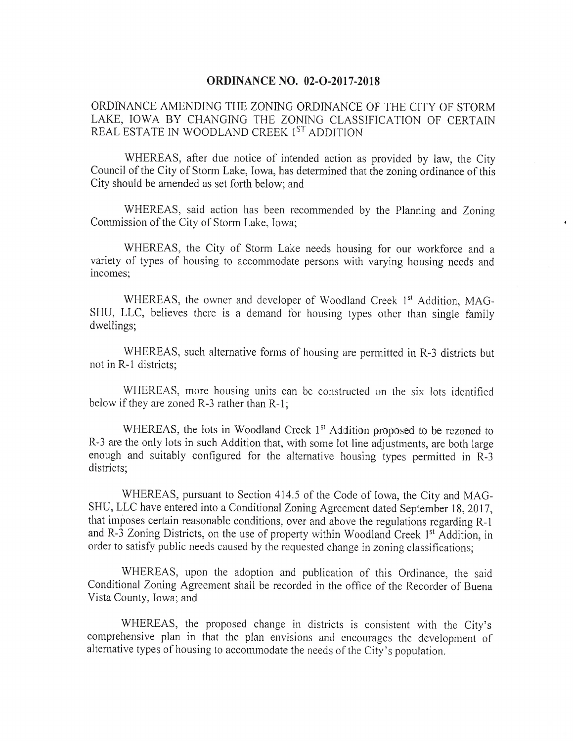## ORDINANCE NO. 02-O-2017-2018

ORDINANCE AMENDING THE ZONING ORDINANCE OF THE CITY OF STORM LAKE, IOWA BY CHANGING THE ZONING CLASSIFICATION OF CERTAIN REAL ESTATE IN WOODLAND CREEK 1<sup>ST</sup> ADDITION

WHEREAS, after due notice of intended action as provided by law, the City Council of the City of Storm Lake, Iowa, has determined that the zoning ordinance of this City should be amended as set forth below; and

WHEREAS, said action has been recommended by the Planning and Zoning Commission of the City of Storm Lake, Iowa;

WHEREAS, the City of Storm Lake needs housing for our workforce and a variety of types of housing to accommodate persons with varying housing needs and incomes;

WHEREAS, the owner and developer of Woodland Creek 1<sup>st</sup> Addition, MAG-SHU, LLC, believes there is a demand for housing types other than single family dwellings;

WHEREAS, such alternative forms of housing are permitted in R-3 districts but not in R-1 districts:

WHEREAS, more housing units can be constructed on the six lots identified below if they are zoned  $R-3$  rather than  $R-1$ ;

WHEREAS, the lots in Woodland Creek  $1<sup>st</sup>$  Addition proposed to be rezoned to R-3 are the only lots in such Addition that, with some lot line adjustments, are both large enough and suitably configured for the alternative housing types permitted in R-3 districts;

WHEREAS, pursuant to Section 414.5 of the Code of Iowa, the City and MAG-SHU, LLC have entered into a Conditional Zoning Agreement dated September 18, 2017, that imposes certain reasonable conditions, over and above the regulations regarding  $R-1$ and R-3 Zoning Districts, on the use of property within Woodland Creek 1<sup>st</sup> Addition, in order to satisfy public needs caused by the requested change in zoning classifications;

WHEREAS, upon the adoption and publication of this Ordinance, the said Conditional Zoning Agreement shall be recorded in the office of the Recorder of Buena Vista County, Iowa; and

WHEREAS, the proposed change in districts is consistent with the City's comprehensive plan in that the plan envisions and encourages the development of alternative types of housing to accommodate the needs of the City's population.